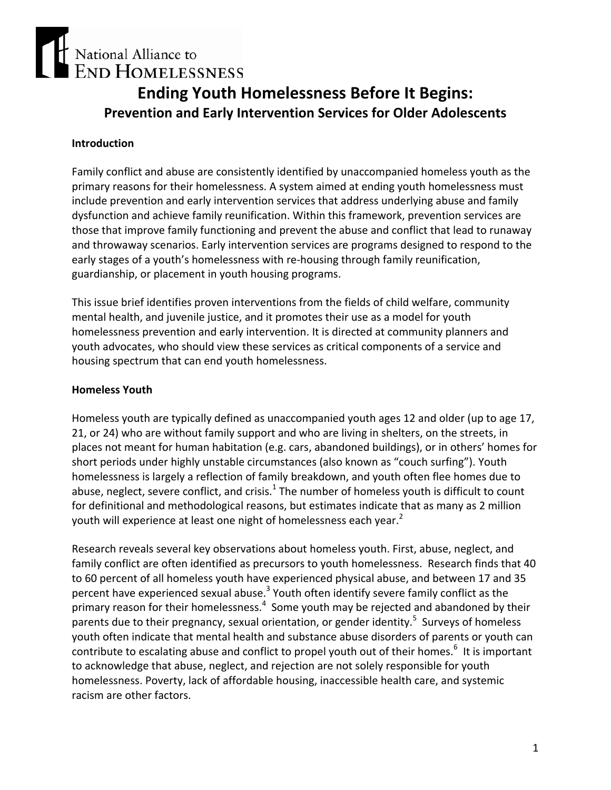# National Alliance to **END HOMELESSNESS**

# **Ending Youth Homelessness Before It Begins: Prevention and Early Intervention Services for Older Adolescents**

#### **Introduction**

Family conflict and abuse are consistently identified by unaccompanied homeless youth as the primary reasons for their homelessness. A system aimed at ending youth homelessness must include prevention and early intervention services that address underlying abuse and family dysfunction and achieve family reunification. Within this framework, prevention services are those that improve family functioning and prevent the abuse and conflict that lead to runaway and throwaway scenarios. Early intervention services are programs designed to respond to the early stages of a youth's homelessness with re-housing through family reunification, guardianship, or placement in youth housing programs.

This issue brief identifies proven interventions from the fields of child welfare, community mental health, and juvenile justice, and it promotes their use as a model for youth homelessness prevention and early intervention. It is directed at community planners and youth advocates, who should view these services as critical components of a service and housing spectrum that can end youth homelessness.

#### **Homeless Youth**

Homeless youth are typically defined as unaccompanied youth ages 12 and older (up to age 17, 21, or 24) who are without family support and who are living in shelters, on the streets, in places not meant for human habitation (e.g. cars, abandoned buildings), or in others' homes for short periods under highly unstable circumstances (also known as "couch surfing"). Youth homelessness is largely a reflection of family breakdown, and youth often flee homes due to abuse, neglect, severe conflict, and crisis.<sup>1</sup> The number of homeless youth is difficult to count for definitional and methodological reasons, but estimates indicate that as many as 2 million youth will experience at least one night of homelessness each year.<sup>2</sup>

Research reveals several key observations about homeless youth. First, abuse, neglect, and family conflict are often identified as precursors to youth homelessness. Research finds that 40 to 60 percent of all homeless youth have experienced physical abuse, and between 17 and 35 percent have experienced sexual abuse.<sup>3</sup> Youth often identify severe family conflict as the primary reason for their homelessness. $<sup>4</sup>$  Some youth may be rejected and abandoned by their</sup> parents due to their pregnancy, sexual orientation, or gender identity.<sup>5</sup> Surveys of homeless youth often indicate that mental health and substance abuse disorders of parents or youth can contribute to escalating abuse and conflict to propel youth out of their homes.<sup>6</sup> It is important to acknowledge that abuse, neglect, and rejection are not solely responsible for youth homelessness. Poverty, lack of affordable housing, inaccessible health care, and systemic racism are other factors.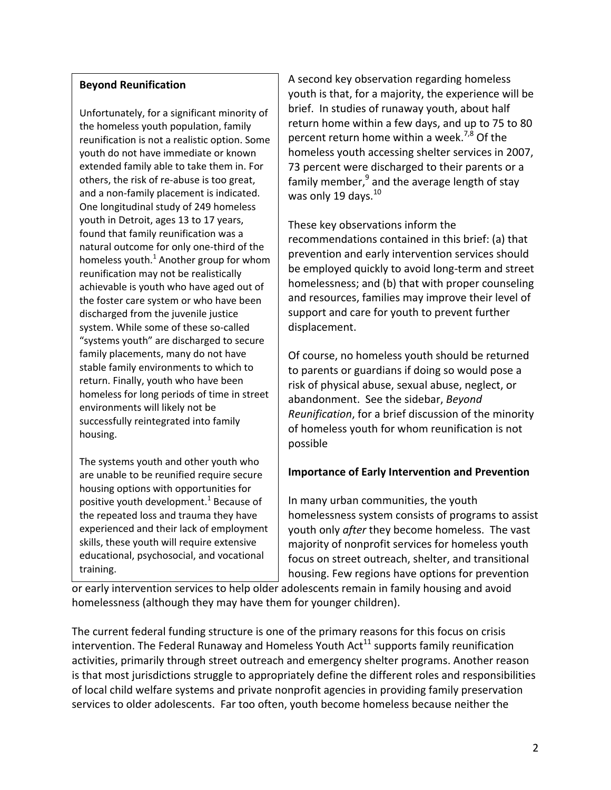#### **Beyond Reunification**

Unfortunately, for a significant minority of the homeless youth population, family reunification is not a realistic option. Some youth do not have immediate or known extended family able to take them in. For others, the risk of re‐abuse is too great, and a non‐family placement is indicated. One longitudinal study of 249 homeless youth in Detroit, ages 13 to 17 years, found that family reunification was a natural outcome for only one‐third of the homeless youth. $^1$  Another group for whom reunification may not be realistically achievable is youth who have aged out of the foster care system or who have been discharged from the juvenile justice system. While some of these so-called "systems youth" are discharged to secure family placements, many do not have stable family environments to which to return. Finally, youth who have been homeless for long periods of time in street environments will likely not be successfully reintegrated into family housing.

The systems youth and other youth who are unable to be reunified require secure housing options with opportunities for positive youth development.<sup>1</sup> Because of the repeated loss and trauma they have experienced and their lack of employment skills, these youth will require extensive educational, psychosocial, and vocational training.

A second key observation regarding homeless youth is that, for a majority, the experience will be brief. In studies of runaway youth, about half return home within a few days, and up to 75 to 80 percent return home within a week.<sup>7,8</sup> Of the homeless youth accessing shelter services in 2007, 73 percent were discharged to their parents or a family member,<sup>9</sup> and the average length of stay was only 19 days. $^{10}$ 

These key observations inform the recommendations contained in this brief: (a) that prevention and early intervention services should be employed quickly to avoid long‐term and street homelessness; and (b) that with proper counseling and resources, families may improve their level of support and care for youth to prevent further displacement.

Of course, no homeless youth should be returned to parents or guardians if doing so would pose a risk of physical abuse, sexual abuse, neglect, or abandonment. See the sidebar, *Beyond Reunification*, for a brief discussion of the minority of homeless youth for whom reunification is not possible

# **Importance of Early Intervention and Prevention**

In many urban communities, the youth homelessness system consists of programs to assist youth only *after* they become homeless. The vast majority of nonprofit services for homeless youth focus on street outreach, shelter, and transitional housing. Few regions have options for prevention

or early intervention services to help older adolescents remain in family housing and avoid homelessness (although they may have them for younger children).

The current federal funding structure is one of the primary reasons for this focus on crisis intervention. The Federal Runaway and Homeless Youth Act<sup>11</sup> supports family reunification activities, primarily through street outreach and emergency shelter programs. Another reason is that most jurisdictions struggle to appropriately define the different roles and responsibilities of local child welfare systems and private nonprofit agencies in providing family preservation services to older adolescents. Far too often, youth become homeless because neither the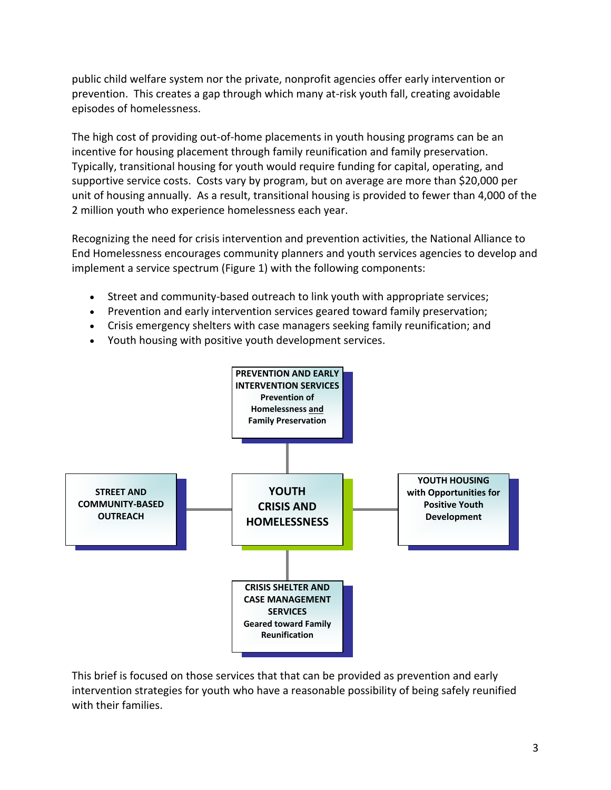public child welfare system nor the private, nonprofit agencies offer early intervention or prevention. This creates a gap through which many at‐risk youth fall, creating avoidable episodes of homelessness.

The high cost of providing out-of-home placements in youth housing programs can be an incentive for housing placement through family reunification and family preservation. Typically, transitional housing for youth would require funding for capital, operating, and supportive service costs. Costs vary by program, but on average are more than \$20,000 per unit of housing annually. As a result, transitional housing is provided to fewer than 4,000 of the 2 million youth who experience homelessness each year.

Recognizing the need for crisis intervention and prevention activities, the National Alliance to End Homelessness encourages community planners and youth services agencies to develop and implement a service spectrum (Figure 1) with the following components:

- Street and community-based outreach to link youth with appropriate services;
- Prevention and early intervention services geared toward family preservation;
- Crisis emergency shelters with case managers seeking family reunification; and
- Youth housing with positive youth development services.



This brief is focused on those services that that can be provided as prevention and early intervention strategies for youth who have a reasonable possibility of being safely reunified with their families.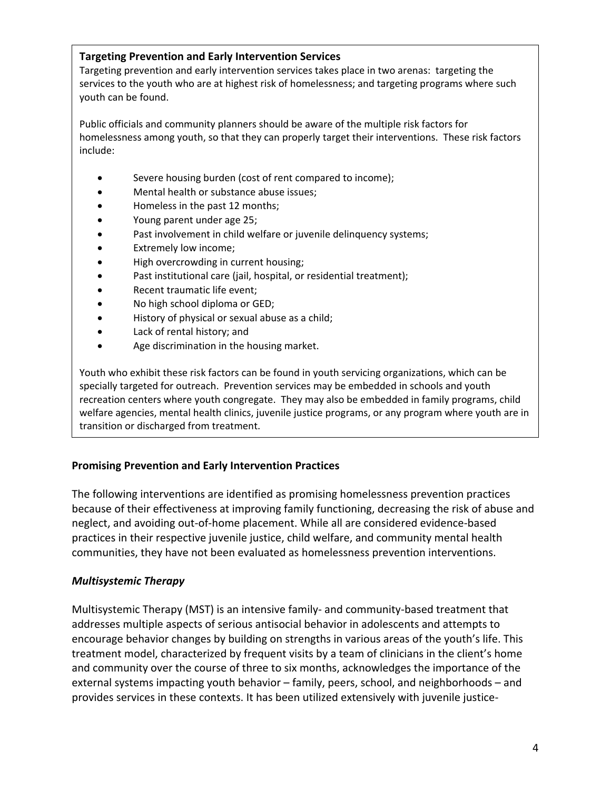#### **Targeting Prevention and Early Intervention Services**

Targeting prevention and early intervention services takes place in two arenas: targeting the services to the youth who are at highest risk of homelessness; and targeting programs where such youth can be found.

Public officials and community planners should be aware of the multiple risk factors for homelessness among youth, so that they can properly target their interventions. These risk factors include:

- Severe housing burden (cost of rent compared to income);
- Mental health or substance abuse issues;
- Homeless in the past 12 months;
- Young parent under age 25;
- Past involvement in child welfare or juvenile delinquency systems;
- Extremely low income;
- High overcrowding in current housing;
- Past institutional care (jail, hospital, or residential treatment);
- Recent traumatic life event;
- No high school diploma or GED;
- History of physical or sexual abuse as a child;
- Lack of rental history; and
- Age discrimination in the housing market.

Youth who exhibit these risk factors can be found in youth servicing organizations, which can be specially targeted for outreach. Prevention services may be embedded in schools and youth recreation centers where youth congregate. They may also be embedded in family programs, child welfare agencies, mental health clinics, juvenile justice programs, or any program where youth are in transition or discharged from treatment.

#### **Promising Prevention and Early Intervention Practices**

The following interventions are identified as promising homelessness prevention practices because of their effectiveness at improving family functioning, decreasing the risk of abuse and neglect, and avoiding out‐of‐home placement. While all are considered evidence‐based practices in their respective juvenile justice, child welfare, and community mental health communities, they have not been evaluated as homelessness prevention interventions.

#### *Multisystemic Therapy*

Multisystemic Therapy (MST) is an intensive family‐ and community‐based treatment that addresses multiple aspects of serious antisocial behavior in adolescents and attempts to encourage behavior changes by building on strengths in various areas of the youth's life. This treatment model, characterized by frequent visits by a team of clinicians in the client's home and community over the course of three to six months, acknowledges the importance of the external systems impacting youth behavior – family, peers, school, and neighborhoods – and provides services in these contexts. It has been utilized extensively with juvenile justice‐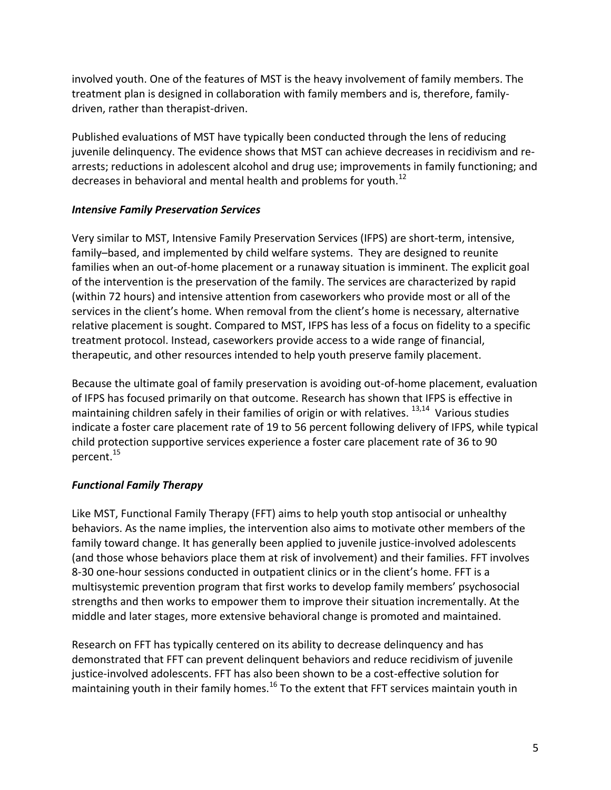involved youth. One of the features of MST is the heavy involvement of family members. The treatment plan is designed in collaboration with family members and is, therefore, family‐ driven, rather than therapist‐driven.

Published evaluations of MST have typically been conducted through the lens of reducing juvenile delinquency. The evidence shows that MST can achieve decreases in recidivism and re‐ arrests; reductions in adolescent alcohol and drug use; improvements in family functioning; and decreases in behavioral and mental health and problems for youth.<sup>12</sup>

#### *Intensive Family Preservation Services*

Very similar to MST, Intensive Family Preservation Services (IFPS) are short‐term, intensive, family–based, and implemented by child welfare systems. They are designed to reunite families when an out-of-home placement or a runaway situation is imminent. The explicit goal of the intervention is the preservation of the family. The services are characterized by rapid (within 72 hours) and intensive attention from caseworkers who provide most or all of the services in the client's home. When removal from the client's home is necessary, alternative relative placement is sought. Compared to MST, IFPS has less of a focus on fidelity to a specific treatment protocol. Instead, caseworkers provide access to a wide range of financial, therapeutic, and other resources intended to help youth preserve family placement.

Because the ultimate goal of family preservation is avoiding out‐of‐home placement, evaluation of IFPS has focused primarily on that outcome. Research has shown that IFPS is effective in maintaining children safely in their families of origin or with relatives.  $13,14$  Various studies indicate a foster care placement rate of 19 to 56 percent following delivery of IFPS, while typical child protection supportive services experience a foster care placement rate of 36 to 90 percent.15

# *Functional Family Therapy*

Like MST, Functional Family Therapy (FFT) aims to help youth stop antisocial or unhealthy behaviors. As the name implies, the intervention also aims to motivate other members of the family toward change. It has generally been applied to juvenile justice-involved adolescents (and those whose behaviors place them at risk of involvement) and their families. FFT involves 8-30 one-hour sessions conducted in outpatient clinics or in the client's home. FFT is a multisystemic prevention program that first works to develop family members' psychosocial strengths and then works to empower them to improve their situation incrementally. At the middle and later stages, more extensive behavioral change is promoted and maintained.

Research on FFT has typically centered on its ability to decrease delinquency and has demonstrated that FFT can prevent delinquent behaviors and reduce recidivism of juvenile justice-involved adolescents. FFT has also been shown to be a cost-effective solution for maintaining youth in their family homes.<sup>16</sup> To the extent that FFT services maintain youth in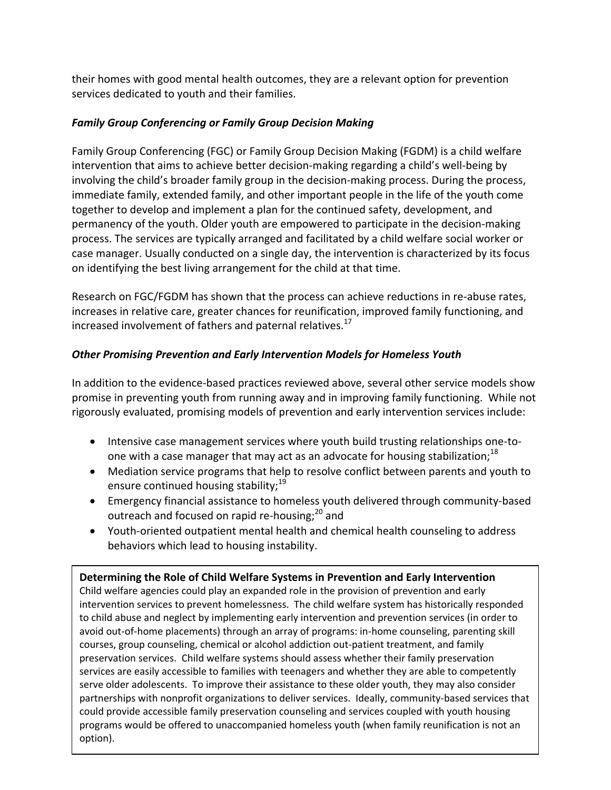their homes with good mental health outcomes, they are a relevant option for prevention services dedicated to youth and their families.

#### *Family Group Conferencing or Family Group Decision Making*

Family Group Conferencing (FGC) or Family Group Decision Making (FGDM) is a child welfare intervention that aims to achieve better decision-making regarding a child's well-being by involving the child's broader family group in the decision-making process. During the process, immediate family, extended family, and other important people in the life of the youth come together to develop and implement a plan for the continued safety, development, and permanency of the youth. Older youth are empowered to participate in the decision‐making process. The services are typically arranged and facilitated by a child welfare social worker or case manager. Usually conducted on a single day, the intervention is characterized by its focus on identifying the best living arrangement for the child at that time.

Research on FGC/FGDM has shown that the process can achieve reductions in re‐abuse rates, increases in relative care, greater chances for reunification, improved family functioning, and increased involvement of fathers and paternal relatives.<sup>17</sup>

# *Other Promising Prevention and Early Intervention Models for Homeless Youth*

In addition to the evidence-based practices reviewed above, several other service models show promise in preventing youth from running away and in improving family functioning. While not rigorously evaluated, promising models of prevention and early intervention services include:

- Intensive case management services where youth build trusting relationships one‐to‐ one with a case manager that may act as an advocate for housing stabilization;<sup>18</sup>
- Mediation service programs that help to resolve conflict between parents and youth to ensure continued housing stability; $19$
- Emergency financial assistance to homeless youth delivered through community‐based outreach and focused on rapid re-housing;<sup>20</sup> and
- Youth‐oriented outpatient mental health and chemical health counseling to address behaviors which lead to housing instability.

**Determining the Role of Child Welfare Systems in Prevention and Early Intervention**  Child welfare agencies could play an expanded role in the provision of prevention and early intervention services to prevent homelessness. The child welfare system has historically responded to child abuse and neglect by implementing early intervention and prevention services (in order to avoid out-of-home placements) through an array of programs: in-home counseling, parenting skill courses, group counseling, chemical or alcohol addiction out‐patient treatment, and family preservation services. Child welfare systems should assess whether their family preservation services are easily accessible to families with teenagers and whether they are able to competently serve older adolescents. To improve their assistance to these older youth, they may also consider partnerships with nonprofit organizations to deliver services. Ideally, community-based services that could provide accessible family preservation counseling and services coupled with youth housing programs would be offered to unaccompanied homeless youth (when family reunification is not an option).

6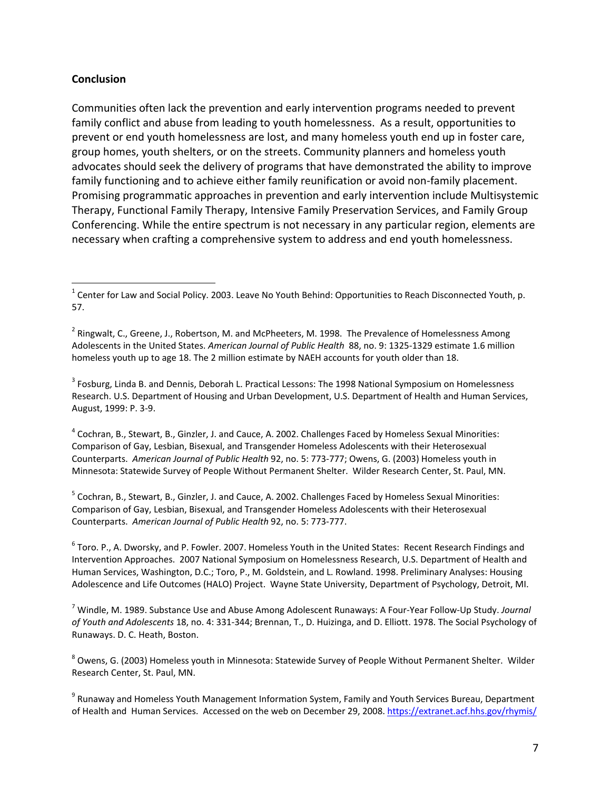#### **Conclusion**

 $\overline{a}$ 

Communities often lack the prevention and early intervention programs needed to prevent family conflict and abuse from leading to youth homelessness. As a result, opportunities to prevent or end youth homelessness are lost, and many homeless youth end up in foster care, group homes, youth shelters, or on the streets. Community planners and homeless youth advocates should seek the delivery of programs that have demonstrated the ability to improve family functioning and to achieve either family reunification or avoid non-family placement. Promising programmatic approaches in prevention and early intervention include Multisystemic Therapy, Functional Family Therapy, Intensive Family Preservation Services, and Family Group Conferencing. While the entire spectrum is not necessary in any particular region, elements are necessary when crafting a comprehensive system to address and end youth homelessness.

<sup>3</sup> Fosburg, Linda B. and Dennis, Deborah L. Practical Lessons: The 1998 National Symposium on Homelessness Research. U.S. Department of Housing and Urban Development, U.S. Department of Health and Human Services, August, 1999: P. 3‐9.

<sup>4</sup> Cochran, B., Stewart, B., Ginzler, J. and Cauce, A. 2002. Challenges Faced by Homeless Sexual Minorities: Comparison of Gay, Lesbian, Bisexual, and Transgender Homeless Adolescents with their Heterosexual Counterparts. *American Journal of Public Health* 92, no. 5: 773‐777; Owens, G. (2003) Homeless youth in Minnesota: Statewide Survey of People Without Permanent Shelter. Wilder Research Center, St. Paul, MN.

<sup>5</sup> Cochran, B., Stewart, B., Ginzler, J. and Cauce, A. 2002. Challenges Faced by Homeless Sexual Minorities: Comparison of Gay, Lesbian, Bisexual, and Transgender Homeless Adolescents with their Heterosexual Counterparts. *American Journal of Public Health* 92, no. 5: 773‐777.

6 Toro. P., A. Dworsky, and P. Fowler. 2007. Homeless Youth in the United States: Recent Research Findings and Intervention Approaches. 2007 National Symposium on Homelessness Research, U.S. Department of Health and Human Services, Washington, D.C.; Toro, P., M. Goldstein, and L. Rowland. 1998. Preliminary Analyses: Housing Adolescence and Life Outcomes (HALO) Project. Wayne State University, Department of Psychology, Detroit, MI.

7 Windle, M. 1989. Substance Use and Abuse Among Adolescent Runaways: A Four‐Year Follow‐Up Study. *Journal of Youth and Adolescents* 18, no. 4: 331‐344; Brennan, T., D. Huizinga, and D. Elliott. 1978. The Social Psychology of Runaways. D. C. Heath, Boston.

<sup>8</sup> Owens, G. (2003) Homeless youth in Minnesota: Statewide Survey of People Without Permanent Shelter. Wilder Research Center, St. Paul, MN.

<sup>9</sup> Runaway and Homeless Youth Management Information System, Family and Youth Services Bureau, Department of Health and Human Services. Accessed on the web on December 29, 2008. https://extranet.acf.hhs.gov/rhymis/

 $^1$  Center for Law and Social Policy. 2003. Leave No Youth Behind: Opportunities to Reach Disconnected Youth, p. 57.

<sup>&</sup>lt;sup>2</sup> Ringwalt, C., Greene, J., Robertson, M. and McPheeters, M. 1998. The Prevalence of Homelessness Among Adolescents in the United States. *American Journal of Public Health* 88, no. 9: 1325‐1329 estimate 1.6 million homeless youth up to age 18. The 2 million estimate by NAEH accounts for youth older than 18.